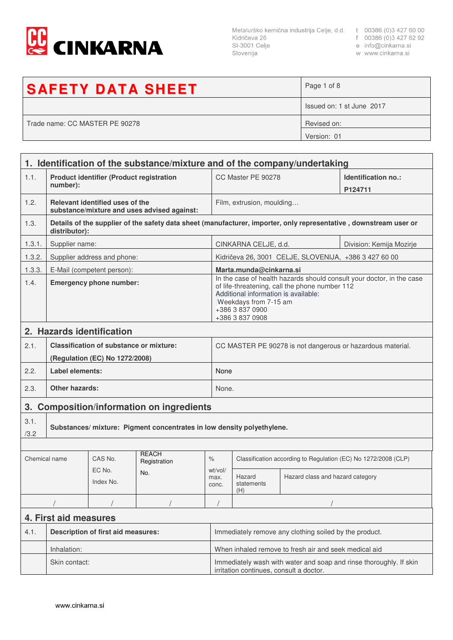

Metalurško kemična industrija Celje, d.d. t 00386 (0)3 427 60 00<br>Kidričeva 26 f 00386 (0)3 427 62 92<br>SI-3001 Celje e info@cinkarna.si<br>Slovenija w www.cinkarna.si Slovenija

- 
- 
- w www.cinkarna.si

| <b>SAFETY DATA SHEET</b>       | Page 1 of 8               |
|--------------------------------|---------------------------|
|                                | Issued on: 1 st June 2017 |
| Trade name: CC MASTER PE 90278 | Revised on:               |
|                                | Version: 01               |

|               | 1. Identification of the substance/mixture and of the company/undertaking |                                                |                                             |                                                                                                                                                                                                                                |                                                                |                                                       |                                                                                                                   |
|---------------|---------------------------------------------------------------------------|------------------------------------------------|---------------------------------------------|--------------------------------------------------------------------------------------------------------------------------------------------------------------------------------------------------------------------------------|----------------------------------------------------------------|-------------------------------------------------------|-------------------------------------------------------------------------------------------------------------------|
| 1.1.          | <b>Product identifier (Product registration</b><br>number):               |                                                |                                             |                                                                                                                                                                                                                                | CC Master PE 90278<br>P124711                                  |                                                       | Identification no.:                                                                                               |
| 1.2.          |                                                                           | Relevant identified uses of the                | substance/mixture and uses advised against: |                                                                                                                                                                                                                                | Film, extrusion, moulding                                      |                                                       |                                                                                                                   |
| 1.3.          | distributor):                                                             |                                                |                                             |                                                                                                                                                                                                                                |                                                                |                                                       | Details of the supplier of the safety data sheet (manufacturer, importer, only representative, downstream user or |
| 1.3.1.        | Supplier name:                                                            |                                                |                                             |                                                                                                                                                                                                                                | CINKARNA CELJE, d.d.<br>Division: Kemija Mozirje               |                                                       |                                                                                                                   |
| 1.3.2.        |                                                                           | Supplier address and phone:                    |                                             |                                                                                                                                                                                                                                |                                                                | Kidričeva 26, 3001 CELJE, SLOVENIJA, +386 3 427 60 00 |                                                                                                                   |
| 1.3.3.        |                                                                           | E-Mail (competent person):                     |                                             |                                                                                                                                                                                                                                | Marta.munda@cinkarna.si                                        |                                                       |                                                                                                                   |
| 1.4.          | <b>Emergency phone number:</b>                                            |                                                |                                             | In the case of health hazards should consult your doctor, in the case<br>of life-threatening, call the phone number 112<br>Additional information is available:<br>Weekdays from 7-15 am<br>+386 3 837 0900<br>+386 3 837 0908 |                                                                |                                                       |                                                                                                                   |
|               |                                                                           | 2. Hazards identification                      |                                             |                                                                                                                                                                                                                                |                                                                |                                                       |                                                                                                                   |
| 2.1.          |                                                                           | <b>Classification of substance or mixture:</b> |                                             |                                                                                                                                                                                                                                | CC MASTER PE 90278 is not dangerous or hazardous material.     |                                                       |                                                                                                                   |
|               |                                                                           | (Regulation (EC) No 1272/2008)                 |                                             |                                                                                                                                                                                                                                |                                                                |                                                       |                                                                                                                   |
| 2.2.          | Label elements:                                                           |                                                |                                             | None                                                                                                                                                                                                                           |                                                                |                                                       |                                                                                                                   |
| 2.3.          | Other hazards:                                                            |                                                |                                             |                                                                                                                                                                                                                                | None.                                                          |                                                       |                                                                                                                   |
|               |                                                                           |                                                | 3. Composition/information on ingredients   |                                                                                                                                                                                                                                |                                                                |                                                       |                                                                                                                   |
| 3.1.<br>/3.2  | Substances/ mixture: Pigment concentrates in low density polyethylene.    |                                                |                                             |                                                                                                                                                                                                                                |                                                                |                                                       |                                                                                                                   |
|               |                                                                           |                                                |                                             |                                                                                                                                                                                                                                |                                                                |                                                       |                                                                                                                   |
| Chemical name |                                                                           | CAS No.                                        | <b>REACH</b><br>Registration                | $\%$                                                                                                                                                                                                                           | Classification according to Regulation (EC) No 1272/2008 (CLP) |                                                       |                                                                                                                   |
|               |                                                                           | EC No.<br>Index No.                            | No.                                         | wt/vol/<br>max.<br>conc.                                                                                                                                                                                                       | Hazard<br>statements<br>(H)                                    | Hazard class and hazard category                      |                                                                                                                   |
|               |                                                                           |                                                |                                             |                                                                                                                                                                                                                                |                                                                |                                                       |                                                                                                                   |
|               | 4. First aid measures                                                     |                                                |                                             |                                                                                                                                                                                                                                |                                                                |                                                       |                                                                                                                   |
| 4.1.          | <b>Description of first aid measures:</b>                                 |                                                |                                             | Immediately remove any clothing soiled by the product.                                                                                                                                                                         |                                                                |                                                       |                                                                                                                   |
|               | Inhalation:                                                               |                                                |                                             | When inhaled remove to fresh air and seek medical aid                                                                                                                                                                          |                                                                |                                                       |                                                                                                                   |
|               | Skin contact:                                                             |                                                |                                             | Immediately wash with water and soap and rinse thoroughly. If skin<br>irritation continues, consult a doctor.                                                                                                                  |                                                                |                                                       |                                                                                                                   |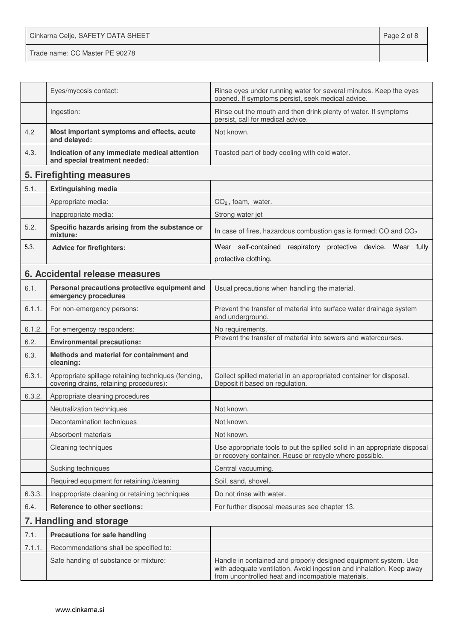Cinkarna Celje, SAFETY DATA SHEET **Page 2 of 8** 

Trade name: CC Master PE 90278

|        | Eyes/mycosis contact:                                                                          | Rinse eyes under running water for several minutes. Keep the eyes<br>opened. If symptoms persist, seek medical advice.                                                                        |  |
|--------|------------------------------------------------------------------------------------------------|-----------------------------------------------------------------------------------------------------------------------------------------------------------------------------------------------|--|
|        | Ingestion:                                                                                     | Rinse out the mouth and then drink plenty of water. If symptoms<br>persist, call for medical advice.                                                                                          |  |
| 4.2    | Most important symptoms and effects, acute<br>and delayed:                                     | Not known.                                                                                                                                                                                    |  |
| 4.3.   | Indication of any immediate medical attention<br>and special treatment needed:                 | Toasted part of body cooling with cold water.                                                                                                                                                 |  |
|        | 5. Firefighting measures                                                                       |                                                                                                                                                                                               |  |
| 5.1.   | <b>Extinguishing media</b>                                                                     |                                                                                                                                                                                               |  |
|        | Appropriate media:                                                                             | $CO2$ , foam, water.                                                                                                                                                                          |  |
|        | Inappropriate media:                                                                           | Strong water jet                                                                                                                                                                              |  |
| 5.2.   | Specific hazards arising from the substance or<br>mixture:                                     | In case of fires, hazardous combustion gas is formed: CO and CO <sub>2</sub>                                                                                                                  |  |
| 5.3.   | <b>Advice for firefighters:</b>                                                                | Wear self-contained respiratory protective device. Wear fully                                                                                                                                 |  |
|        |                                                                                                | protective clothing.                                                                                                                                                                          |  |
|        | 6. Accidental release measures                                                                 |                                                                                                                                                                                               |  |
| 6.1.   | Personal precautions protective equipment and<br>emergency procedures                          | Usual precautions when handling the material.                                                                                                                                                 |  |
| 6.1.1. | For non-emergency persons:                                                                     | Prevent the transfer of material into surface water drainage system<br>and underground.                                                                                                       |  |
| 6.1.2. | For emergency responders:                                                                      | No requirements.                                                                                                                                                                              |  |
| 6.2.   | <b>Environmental precautions:</b>                                                              | Prevent the transfer of material into sewers and watercourses.                                                                                                                                |  |
| 6.3.   | Methods and material for containment and<br>cleaning:                                          |                                                                                                                                                                                               |  |
| 6.3.1. | Appropriate spillage retaining techniques (fencing,<br>covering drains, retaining procedures): | Collect spilled material in an appropriated container for disposal.<br>Deposit it based on regulation.                                                                                        |  |
| 6.3.2. | Appropriate cleaning procedures                                                                |                                                                                                                                                                                               |  |
|        | Neutralization techniques                                                                      | Not known.                                                                                                                                                                                    |  |
|        | Decontamination techniques                                                                     | Not known.                                                                                                                                                                                    |  |
|        | Absorbent materials                                                                            | Not known.                                                                                                                                                                                    |  |
|        | Cleaning techniques                                                                            | Use appropriate tools to put the spilled solid in an appropriate disposal<br>or recovery container. Reuse or recycle where possible.                                                          |  |
|        | Sucking techniques                                                                             | Central vacuuming.                                                                                                                                                                            |  |
|        | Required equipment for retaining /cleaning                                                     | Soil, sand, shovel.                                                                                                                                                                           |  |
| 6.3.3. | Inappropriate cleaning or retaining techniques                                                 | Do not rinse with water.                                                                                                                                                                      |  |
| 6.4.   | <b>Reference to other sections:</b>                                                            | For further disposal measures see chapter 13.                                                                                                                                                 |  |
|        | 7. Handling and storage                                                                        |                                                                                                                                                                                               |  |
| 7.1.   | <b>Precautions for safe handling</b>                                                           |                                                                                                                                                                                               |  |
| 7.1.1. | Recommendations shall be specified to:                                                         |                                                                                                                                                                                               |  |
|        | Safe handing of substance or mixture:                                                          | Handle in contained and properly designed equipment system. Use<br>with adequate ventilation. Avoid ingestion and inhalation. Keep away<br>from uncontrolled heat and incompatible materials. |  |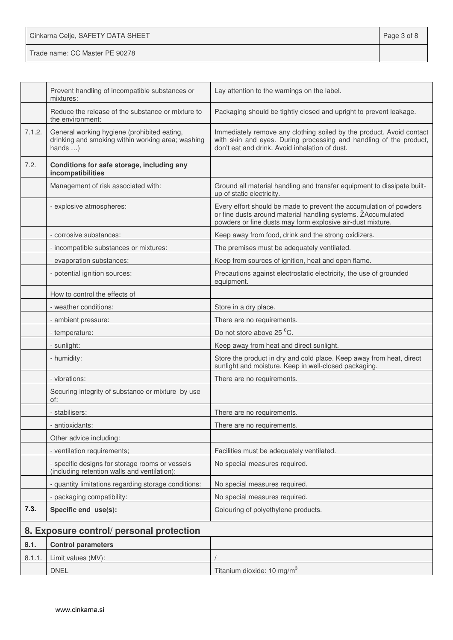| Cinkarna Celje, SAFETY DATA SHEET | Page 3 of 8 |
|-----------------------------------|-------------|
| Trade name: CC Master PE 90278    |             |

|        | Prevent handling of incompatible substances or<br>mixtures:                                                          | Lay attention to the warnings on the label.                                                                                                                                                      |
|--------|----------------------------------------------------------------------------------------------------------------------|--------------------------------------------------------------------------------------------------------------------------------------------------------------------------------------------------|
|        | Reduce the release of the substance or mixture to<br>the environment:                                                | Packaging should be tightly closed and upright to prevent leakage.                                                                                                                               |
| 7.1.2. | General working hygiene (prohibited eating,<br>drinking and smoking within working area; washing<br>hands $\ldots$ ) | Immediately remove any clothing soiled by the product. Avoid contact<br>with skin and eyes. During processing and handling of the product,<br>don't eat and drink. Avoid inhalation of dust.     |
| 7.2.   | Conditions for safe storage, including any<br>incompatibilities                                                      |                                                                                                                                                                                                  |
|        | Management of risk associated with:                                                                                  | Ground all material handling and transfer equipment to dissipate built-<br>up of static electricity.                                                                                             |
|        | - explosive atmospheres:                                                                                             | Every effort should be made to prevent the accumulation of powders<br>or fine dusts around material handling systems. ŽAccumulated<br>powders or fine dusts may form explosive air-dust mixture. |
|        | - corrosive substances:                                                                                              | Keep away from food, drink and the strong oxidizers.                                                                                                                                             |
|        | - incompatible substances or mixtures:                                                                               | The premises must be adequately ventilated.                                                                                                                                                      |
|        | - evaporation substances:                                                                                            | Keep from sources of ignition, heat and open flame.                                                                                                                                              |
|        | - potential ignition sources:                                                                                        | Precautions against electrostatic electricity, the use of grounded<br>equipment.                                                                                                                 |
|        | How to control the effects of                                                                                        |                                                                                                                                                                                                  |
|        | - weather conditions:                                                                                                | Store in a dry place.                                                                                                                                                                            |
|        | - ambient pressure:                                                                                                  | There are no requirements.                                                                                                                                                                       |
|        | - temperature:                                                                                                       | Do not store above 25 °C.                                                                                                                                                                        |
|        | - sunlight:                                                                                                          | Keep away from heat and direct sunlight.                                                                                                                                                         |
|        | - humidity:                                                                                                          | Store the product in dry and cold place. Keep away from heat, direct<br>sunlight and moisture. Keep in well-closed packaging.                                                                    |
|        | - vibrations:                                                                                                        | There are no requirements.                                                                                                                                                                       |
|        | Securing integrity of substance or mixture by use<br>of:                                                             |                                                                                                                                                                                                  |
|        | - stabilisers:                                                                                                       | There are no requirements.                                                                                                                                                                       |
|        | - antioxidants:                                                                                                      | There are no requirements.                                                                                                                                                                       |
|        | Other advice including:                                                                                              |                                                                                                                                                                                                  |
|        | - ventilation requirements;                                                                                          | Facilities must be adequately ventilated.                                                                                                                                                        |
|        | - specific designs for storage rooms or vessels<br>(including retention walls and ventilation):                      | No special measures required.                                                                                                                                                                    |
|        | - quantity limitations regarding storage conditions:                                                                 | No special measures required.                                                                                                                                                                    |
|        | - packaging compatibility:                                                                                           | No special measures required.                                                                                                                                                                    |
| 7.3.   | Specific end use(s):                                                                                                 | Colouring of polyethylene products.                                                                                                                                                              |
|        | 8. Exposure control/ personal protection                                                                             |                                                                                                                                                                                                  |
| 8.1.   | <b>Control parameters</b>                                                                                            |                                                                                                                                                                                                  |
| 8.1.1  | Limit values (MV):                                                                                                   |                                                                                                                                                                                                  |
|        | <b>DNEL</b>                                                                                                          | Titanium dioxide: 10 mg/m <sup>3</sup>                                                                                                                                                           |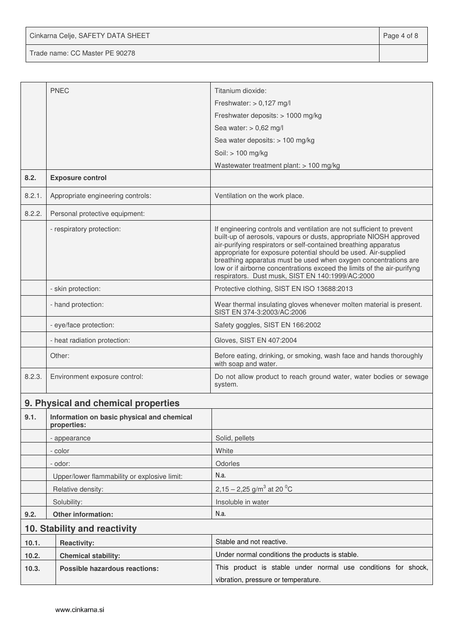Cinkarna Celje, SAFETY DATA SHEET **Page 4 of 8** 

Trade name: CC Master PE 90278

|        | <b>PNEC</b>                                               | Titanium dioxide:                                                                                                                                                                                                                                                                                                                                                                                                                                                                   |  |  |
|--------|-----------------------------------------------------------|-------------------------------------------------------------------------------------------------------------------------------------------------------------------------------------------------------------------------------------------------------------------------------------------------------------------------------------------------------------------------------------------------------------------------------------------------------------------------------------|--|--|
|        |                                                           | Freshwater: $> 0,127$ mg/l                                                                                                                                                                                                                                                                                                                                                                                                                                                          |  |  |
|        |                                                           | Freshwater deposits: > 1000 mg/kg                                                                                                                                                                                                                                                                                                                                                                                                                                                   |  |  |
|        |                                                           | Sea water: $> 0.62$ mg/l                                                                                                                                                                                                                                                                                                                                                                                                                                                            |  |  |
|        |                                                           | Sea water deposits: > 100 mg/kg                                                                                                                                                                                                                                                                                                                                                                                                                                                     |  |  |
|        |                                                           | Soil: > 100 mg/kg                                                                                                                                                                                                                                                                                                                                                                                                                                                                   |  |  |
|        |                                                           | Wastewater treatment plant: > 100 mg/kg                                                                                                                                                                                                                                                                                                                                                                                                                                             |  |  |
| 8.2.   | <b>Exposure control</b>                                   |                                                                                                                                                                                                                                                                                                                                                                                                                                                                                     |  |  |
| 8.2.1. | Appropriate engineering controls:                         | Ventilation on the work place.                                                                                                                                                                                                                                                                                                                                                                                                                                                      |  |  |
| 8.2.2. | Personal protective equipment:                            |                                                                                                                                                                                                                                                                                                                                                                                                                                                                                     |  |  |
|        | - respiratory protection:                                 | If engineering controls and ventilation are not sufficient to prevent<br>built-up of aerosols, vapours or dusts, appropriate NIOSH approved<br>air-purifying respirators or self-contained breathing apparatus<br>appropriate for exposure potential should be used. Air-supplied<br>breathing apparatus must be used when oxygen concentrations are<br>low or if airborne concentrations exceed the limits of the air-purifyng<br>respirators. Dust musk, SIST EN 140:1999/AC:2000 |  |  |
|        | - skin protection:                                        | Protective clothing, SIST EN ISO 13688:2013                                                                                                                                                                                                                                                                                                                                                                                                                                         |  |  |
|        | - hand protection:                                        | Wear thermal insulating gloves whenever molten material is present.<br>SIST EN 374-3:2003/AC:2006                                                                                                                                                                                                                                                                                                                                                                                   |  |  |
|        | - eye/face protection:                                    | Safety goggles, SIST EN 166:2002                                                                                                                                                                                                                                                                                                                                                                                                                                                    |  |  |
|        | - heat radiation protection:                              | Gloves, SIST EN 407:2004                                                                                                                                                                                                                                                                                                                                                                                                                                                            |  |  |
|        | Other:                                                    | Before eating, drinking, or smoking, wash face and hands thoroughly<br>with soap and water.                                                                                                                                                                                                                                                                                                                                                                                         |  |  |
| 8.2.3. | Environment exposure control:                             | Do not allow product to reach ground water, water bodies or sewage<br>system.                                                                                                                                                                                                                                                                                                                                                                                                       |  |  |
|        | 9. Physical and chemical properties                       |                                                                                                                                                                                                                                                                                                                                                                                                                                                                                     |  |  |
| 9.1.   | Information on basic physical and chemical<br>properties: |                                                                                                                                                                                                                                                                                                                                                                                                                                                                                     |  |  |
|        | - appearance                                              | Solid, pellets                                                                                                                                                                                                                                                                                                                                                                                                                                                                      |  |  |
|        | - color                                                   | White                                                                                                                                                                                                                                                                                                                                                                                                                                                                               |  |  |
|        | - odor:                                                   | Odorles                                                                                                                                                                                                                                                                                                                                                                                                                                                                             |  |  |
|        | Upper/lower flammability or explosive limit:              | N.a.                                                                                                                                                                                                                                                                                                                                                                                                                                                                                |  |  |
|        | Relative density:                                         | 2,15 – 2,25 g/m <sup>3</sup> at 20 <sup>o</sup> C                                                                                                                                                                                                                                                                                                                                                                                                                                   |  |  |
|        | Solubility:                                               | Insoluble in water                                                                                                                                                                                                                                                                                                                                                                                                                                                                  |  |  |
| 9.2.   | Other information:                                        | N.a.                                                                                                                                                                                                                                                                                                                                                                                                                                                                                |  |  |
|        | 10. Stability and reactivity                              |                                                                                                                                                                                                                                                                                                                                                                                                                                                                                     |  |  |
| 10.1.  | <b>Reactivity:</b>                                        | Stable and not reactive.                                                                                                                                                                                                                                                                                                                                                                                                                                                            |  |  |
| 10.2.  | <b>Chemical stability:</b>                                | Under normal conditions the products is stable.                                                                                                                                                                                                                                                                                                                                                                                                                                     |  |  |
| 10.3.  | <b>Possible hazardous reactions:</b>                      | This product is stable under normal use conditions for shock,                                                                                                                                                                                                                                                                                                                                                                                                                       |  |  |
|        |                                                           | vibration, pressure or temperature.                                                                                                                                                                                                                                                                                                                                                                                                                                                 |  |  |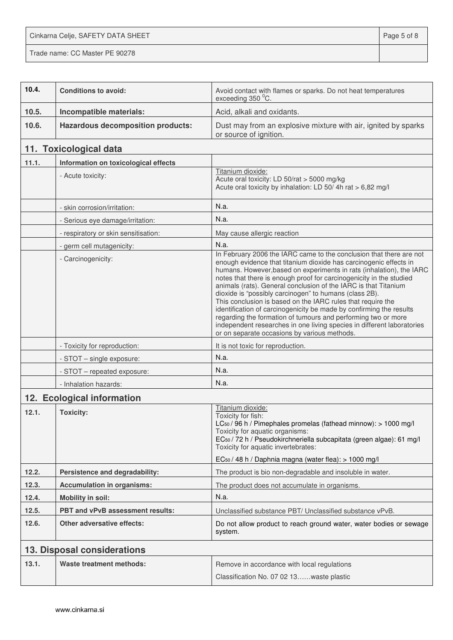Cinkarna Celje, SAFETY DATA SHEET **Page 5 of 8** 

Trade name: CC Master PE 90278

| 10.4. | <b>Conditions to avoid:</b>              | Avoid contact with flames or sparks. Do not heat temperatures<br>exceeding 350 °C.                                                                                                                                                                                                                                                                                                                                                                                                                                                                                                                                                                                                                                                                    |  |  |
|-------|------------------------------------------|-------------------------------------------------------------------------------------------------------------------------------------------------------------------------------------------------------------------------------------------------------------------------------------------------------------------------------------------------------------------------------------------------------------------------------------------------------------------------------------------------------------------------------------------------------------------------------------------------------------------------------------------------------------------------------------------------------------------------------------------------------|--|--|
| 10.5. | Incompatible materials:                  | Acid, alkali and oxidants.                                                                                                                                                                                                                                                                                                                                                                                                                                                                                                                                                                                                                                                                                                                            |  |  |
| 10.6. | <b>Hazardous decomposition products:</b> | Dust may from an explosive mixture with air, ignited by sparks<br>or source of ignition.                                                                                                                                                                                                                                                                                                                                                                                                                                                                                                                                                                                                                                                              |  |  |
|       | 11. Toxicological data                   |                                                                                                                                                                                                                                                                                                                                                                                                                                                                                                                                                                                                                                                                                                                                                       |  |  |
| 11.1. | Information on toxicological effects     |                                                                                                                                                                                                                                                                                                                                                                                                                                                                                                                                                                                                                                                                                                                                                       |  |  |
|       | - Acute toxicity:                        | Titanium dioxide:<br>Acute oral toxicity: LD 50/rat > 5000 mg/kg<br>Acute oral toxicity by inhalation: LD 50/4h rat > 6,82 mg/l                                                                                                                                                                                                                                                                                                                                                                                                                                                                                                                                                                                                                       |  |  |
|       | - skin corrosion/irritation:             | N.a.                                                                                                                                                                                                                                                                                                                                                                                                                                                                                                                                                                                                                                                                                                                                                  |  |  |
|       | - Serious eye damage/irritation:         | N.a.                                                                                                                                                                                                                                                                                                                                                                                                                                                                                                                                                                                                                                                                                                                                                  |  |  |
|       | - respiratory or skin sensitisation:     | May cause allergic reaction                                                                                                                                                                                                                                                                                                                                                                                                                                                                                                                                                                                                                                                                                                                           |  |  |
|       | - germ cell mutagenicity:                | N.a.                                                                                                                                                                                                                                                                                                                                                                                                                                                                                                                                                                                                                                                                                                                                                  |  |  |
|       | - Carcinogenicity:                       | In February 2006 the IARC came to the conclusion that there are not<br>enough evidence that titanium dioxide has carcinogenic effects in<br>humans. However, based on experiments in rats (inhalation), the IARC<br>notes that there is enough proof for carcinogenicity in the studied<br>animals (rats). General conclusion of the IARC is that Titanium<br>dioxide is "possibly carcinogen" to humans (class 2B).<br>This conclusion is based on the IARC rules that require the<br>identification of carcinogenicity be made by confirming the results<br>regarding the formation of tumours and performing two or more<br>independent researches in one living species in different laboratories<br>or on separate occasions by various methods. |  |  |
|       | - Toxicity for reproduction:             | It is not toxic for reproduction.                                                                                                                                                                                                                                                                                                                                                                                                                                                                                                                                                                                                                                                                                                                     |  |  |
|       | - STOT - single exposure:                | N.a.                                                                                                                                                                                                                                                                                                                                                                                                                                                                                                                                                                                                                                                                                                                                                  |  |  |
|       | - STOT - repeated exposure:              | N.a.                                                                                                                                                                                                                                                                                                                                                                                                                                                                                                                                                                                                                                                                                                                                                  |  |  |
|       | - Inhalation hazards:                    | N.a.                                                                                                                                                                                                                                                                                                                                                                                                                                                                                                                                                                                                                                                                                                                                                  |  |  |
|       | 12. Ecological information               |                                                                                                                                                                                                                                                                                                                                                                                                                                                                                                                                                                                                                                                                                                                                                       |  |  |
| 12.1. | <b>Toxicity:</b>                         | Titanium dioxide:<br>Toxicity for fish:<br>LC <sub>50</sub> / 96 h / Pimephales promelas (fathead minnow): > 1000 mg/l<br>Toxicity for aquatic organisms:<br>EC <sub>50</sub> / 72 h / Pseudokirchneriella subcapitata (green algae): 61 mg/l<br>Toxicity for aquatic invertebrates:<br>EC <sub>50</sub> / 48 h / Daphnia magna (water flea): > 1000 mg/l                                                                                                                                                                                                                                                                                                                                                                                             |  |  |
| 12.2. | Persistence and degradability:           | The product is bio non-degradable and insoluble in water.                                                                                                                                                                                                                                                                                                                                                                                                                                                                                                                                                                                                                                                                                             |  |  |
| 12.3. | <b>Accumulation in organisms:</b>        | The product does not accumulate in organisms.                                                                                                                                                                                                                                                                                                                                                                                                                                                                                                                                                                                                                                                                                                         |  |  |
| 12.4. | <b>Mobility in soil:</b>                 | N.a.                                                                                                                                                                                                                                                                                                                                                                                                                                                                                                                                                                                                                                                                                                                                                  |  |  |
| 12.5. | PBT and vPvB assessment results:         | Unclassified substance PBT/ Unclassified substance vPvB.                                                                                                                                                                                                                                                                                                                                                                                                                                                                                                                                                                                                                                                                                              |  |  |
| 12.6. | <b>Other adversative effects:</b>        | Do not allow product to reach ground water, water bodies or sewage<br>system.                                                                                                                                                                                                                                                                                                                                                                                                                                                                                                                                                                                                                                                                         |  |  |
|       | 13. Disposal considerations              |                                                                                                                                                                                                                                                                                                                                                                                                                                                                                                                                                                                                                                                                                                                                                       |  |  |
| 13.1. | Waste treatment methods:                 | Remove in accordance with local regulations<br>Classification No. 07 02 13waste plastic                                                                                                                                                                                                                                                                                                                                                                                                                                                                                                                                                                                                                                                               |  |  |
|       |                                          |                                                                                                                                                                                                                                                                                                                                                                                                                                                                                                                                                                                                                                                                                                                                                       |  |  |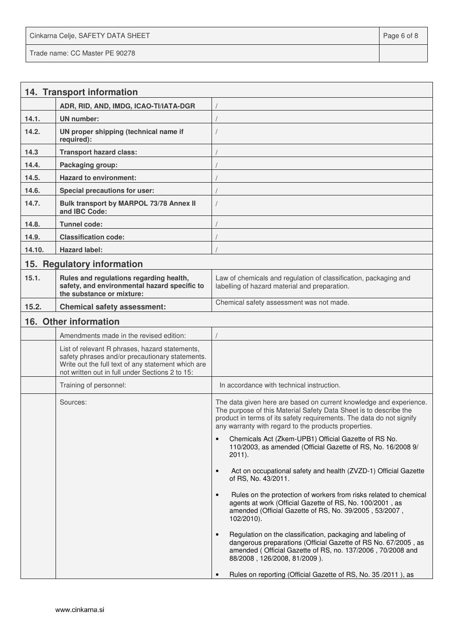Cinkarna Celje, SAFETY DATA SHEET **Page 6 of 8** and 2011 12 and 2012 12 and 2012 12 and 2012 12 and 2012 12 and 201 Trade name: CC Master PE 90278

|        | 14. Transport information                                                                                                                                                                                  |                                                                                                                                                                                                                                                                         |
|--------|------------------------------------------------------------------------------------------------------------------------------------------------------------------------------------------------------------|-------------------------------------------------------------------------------------------------------------------------------------------------------------------------------------------------------------------------------------------------------------------------|
|        | ADR, RID, AND, IMDG, ICAO-TI/IATA-DGR                                                                                                                                                                      |                                                                                                                                                                                                                                                                         |
| 14.1.  | <b>UN</b> number:                                                                                                                                                                                          |                                                                                                                                                                                                                                                                         |
| 14.2.  | UN proper shipping (technical name if<br>required):                                                                                                                                                        |                                                                                                                                                                                                                                                                         |
| 14.3   | <b>Transport hazard class:</b>                                                                                                                                                                             |                                                                                                                                                                                                                                                                         |
| 14.4.  | Packaging group:                                                                                                                                                                                           |                                                                                                                                                                                                                                                                         |
| 14.5.  | <b>Hazard to environment:</b>                                                                                                                                                                              |                                                                                                                                                                                                                                                                         |
| 14.6.  | Special precautions for user:                                                                                                                                                                              |                                                                                                                                                                                                                                                                         |
| 14.7.  | Bulk transport by MARPOL 73/78 Annex II<br>and IBC Code:                                                                                                                                                   |                                                                                                                                                                                                                                                                         |
| 14.8.  | <b>Tunnel code:</b>                                                                                                                                                                                        |                                                                                                                                                                                                                                                                         |
| 14.9.  | <b>Classification code:</b>                                                                                                                                                                                |                                                                                                                                                                                                                                                                         |
| 14.10. | <b>Hazard label:</b>                                                                                                                                                                                       |                                                                                                                                                                                                                                                                         |
|        | 15. Regulatory information                                                                                                                                                                                 |                                                                                                                                                                                                                                                                         |
| 15.1.  | Rules and regulations regarding health,<br>safety, and environmental hazard specific to<br>the substance or mixture:                                                                                       | Law of chemicals and regulation of classification, packaging and<br>labelling of hazard material and preparation.                                                                                                                                                       |
| 15.2.  | <b>Chemical safety assessment:</b>                                                                                                                                                                         | Chemical safety assessment was not made.                                                                                                                                                                                                                                |
|        | 16. Other information                                                                                                                                                                                      |                                                                                                                                                                                                                                                                         |
|        | Amendments made in the revised edition:                                                                                                                                                                    |                                                                                                                                                                                                                                                                         |
|        | List of relevant R phrases, hazard statements,<br>safety phrases and/or precautionary statements.<br>Write out the full text of any statement which are<br>not written out in full under Sections 2 to 15: |                                                                                                                                                                                                                                                                         |
|        | Training of personnel:                                                                                                                                                                                     | In accordance with technical instruction.                                                                                                                                                                                                                               |
|        | Sources:                                                                                                                                                                                                   | The data given here are based on current knowledge and experience.<br>The purpose of this Material Safety Data Sheet is to describe the<br>product in terms of its safety requirements. The data do not signify<br>any warranty with regard to the products properties. |
|        |                                                                                                                                                                                                            | Chemicals Act (Zkem-UPB1) Official Gazette of RS No.<br>$\bullet$<br>110/2003, as amended (Official Gazette of RS, No. 16/2008 9/<br>$2011$ ).                                                                                                                          |
|        |                                                                                                                                                                                                            | Act on occupational safety and health (ZVZD-1) Official Gazette<br>$\bullet$<br>of RS, No. 43/2011.                                                                                                                                                                     |
|        |                                                                                                                                                                                                            | Rules on the protection of workers from risks related to chemical<br>$\bullet$<br>agents at work (Official Gazette of RS, No. 100/2001, as<br>amended (Official Gazette of RS, No. 39/2005, 53/2007,<br>$102/2010$ ).                                                   |
|        |                                                                                                                                                                                                            | Regulation on the classification, packaging and labeling of<br>$\bullet$<br>dangerous preparations (Official Gazette of RS No. 67/2005, as<br>amended (Official Gazette of RS, no. 137/2006, 70/2008 and<br>88/2008, 126/2008, 81/2009).                                |
|        |                                                                                                                                                                                                            | Rules on reporting (Official Gazette of RS, No. 35 / 2011), as                                                                                                                                                                                                          |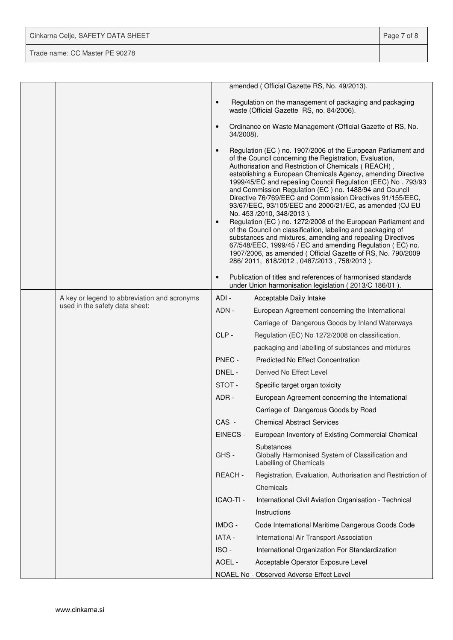| Cinkarna Celje, SAFETY DATA SHEET | Page 7 of 8 |
|-----------------------------------|-------------|
| Trade name: CC Master PE 90278    |             |

|  |                                              |                        | amended (Official Gazette RS, No. 49/2013).                                                                                                                                                                                                                                                                                                                                                                                                                                                                                                                                                                                                                                                                                                                                                                                                                                                          |
|--|----------------------------------------------|------------------------|------------------------------------------------------------------------------------------------------------------------------------------------------------------------------------------------------------------------------------------------------------------------------------------------------------------------------------------------------------------------------------------------------------------------------------------------------------------------------------------------------------------------------------------------------------------------------------------------------------------------------------------------------------------------------------------------------------------------------------------------------------------------------------------------------------------------------------------------------------------------------------------------------|
|  |                                              | $\bullet$              | Regulation on the management of packaging and packaging<br>waste (Official Gazette RS, no. 84/2006).                                                                                                                                                                                                                                                                                                                                                                                                                                                                                                                                                                                                                                                                                                                                                                                                 |
|  |                                              | $\bullet$<br>34/2008). | Ordinance on Waste Management (Official Gazette of RS, No.                                                                                                                                                                                                                                                                                                                                                                                                                                                                                                                                                                                                                                                                                                                                                                                                                                           |
|  |                                              | $\bullet$<br>$\bullet$ | Regulation (EC) no. 1907/2006 of the European Parliament and<br>of the Council concerning the Registration, Evaluation,<br>Authorisation and Restriction of Chemicals (REACH),<br>establishing a European Chemicals Agency, amending Directive<br>1999/45/EC and repealing Council Regulation (EEC) No. 793/93<br>and Commission Regulation (EC) no. 1488/94 and Council<br>Directive 76/769/EEC and Commission Directives 91/155/EEC,<br>93/67/EEC, 93/105/EEC and 2000/21/EC, as amended (OJ EU<br>No. 453 /2010, 348/2013).<br>Regulation (EC) no. 1272/2008 of the European Parliament and<br>of the Council on classification, labeling and packaging of<br>substances and mixtures, amending and repealing Directives<br>67/548/EEC, 1999/45 / EC and amending Regulation (EC) no.<br>1907/2006, as amended (Official Gazette of RS, No. 790/2009<br>286/2011, 618/2012, 0487/2013, 758/2013). |
|  |                                              | $\bullet$              | Publication of titles and references of harmonised standards<br>under Union harmonisation legislation (2013/C 186/01).                                                                                                                                                                                                                                                                                                                                                                                                                                                                                                                                                                                                                                                                                                                                                                               |
|  | A key or legend to abbreviation and acronyms | ADI-                   | Acceptable Daily Intake                                                                                                                                                                                                                                                                                                                                                                                                                                                                                                                                                                                                                                                                                                                                                                                                                                                                              |
|  | used in the safety data sheet:               | ADN -                  | European Agreement concerning the International                                                                                                                                                                                                                                                                                                                                                                                                                                                                                                                                                                                                                                                                                                                                                                                                                                                      |
|  |                                              |                        | Carriage of Dangerous Goods by Inland Waterways                                                                                                                                                                                                                                                                                                                                                                                                                                                                                                                                                                                                                                                                                                                                                                                                                                                      |
|  |                                              | CLP-                   | Regulation (EC) No 1272/2008 on classification,                                                                                                                                                                                                                                                                                                                                                                                                                                                                                                                                                                                                                                                                                                                                                                                                                                                      |
|  |                                              |                        | packaging and labelling of substances and mixtures                                                                                                                                                                                                                                                                                                                                                                                                                                                                                                                                                                                                                                                                                                                                                                                                                                                   |
|  |                                              | PNEC -                 | <b>Predicted No Effect Concentration</b>                                                                                                                                                                                                                                                                                                                                                                                                                                                                                                                                                                                                                                                                                                                                                                                                                                                             |
|  |                                              | DNEL -                 | Derived No Effect Level                                                                                                                                                                                                                                                                                                                                                                                                                                                                                                                                                                                                                                                                                                                                                                                                                                                                              |
|  |                                              | STOT-                  | Specific target organ toxicity                                                                                                                                                                                                                                                                                                                                                                                                                                                                                                                                                                                                                                                                                                                                                                                                                                                                       |
|  |                                              | ADR-                   | European Agreement concerning the International                                                                                                                                                                                                                                                                                                                                                                                                                                                                                                                                                                                                                                                                                                                                                                                                                                                      |
|  |                                              |                        | Carriage of Dangerous Goods by Road                                                                                                                                                                                                                                                                                                                                                                                                                                                                                                                                                                                                                                                                                                                                                                                                                                                                  |
|  |                                              | CAS -                  | <b>Chemical Abstract Services</b>                                                                                                                                                                                                                                                                                                                                                                                                                                                                                                                                                                                                                                                                                                                                                                                                                                                                    |
|  |                                              | EINECS -               | European Inventory of Existing Commercial Chemical                                                                                                                                                                                                                                                                                                                                                                                                                                                                                                                                                                                                                                                                                                                                                                                                                                                   |
|  |                                              | GHS-                   | Substances<br>Globally Harmonised System of Classification and<br>Labelling of Chemicals                                                                                                                                                                                                                                                                                                                                                                                                                                                                                                                                                                                                                                                                                                                                                                                                             |
|  |                                              | REACH-                 | Registration, Evaluation, Authorisation and Restriction of                                                                                                                                                                                                                                                                                                                                                                                                                                                                                                                                                                                                                                                                                                                                                                                                                                           |
|  |                                              |                        | Chemicals                                                                                                                                                                                                                                                                                                                                                                                                                                                                                                                                                                                                                                                                                                                                                                                                                                                                                            |
|  |                                              | ICAO-TI -              | International Civil Aviation Organisation - Technical                                                                                                                                                                                                                                                                                                                                                                                                                                                                                                                                                                                                                                                                                                                                                                                                                                                |
|  |                                              |                        | Instructions                                                                                                                                                                                                                                                                                                                                                                                                                                                                                                                                                                                                                                                                                                                                                                                                                                                                                         |
|  |                                              | IMDG -                 | Code International Maritime Dangerous Goods Code                                                                                                                                                                                                                                                                                                                                                                                                                                                                                                                                                                                                                                                                                                                                                                                                                                                     |
|  |                                              | IATA -                 | International Air Transport Association                                                                                                                                                                                                                                                                                                                                                                                                                                                                                                                                                                                                                                                                                                                                                                                                                                                              |
|  |                                              | ISO-                   | International Organization For Standardization                                                                                                                                                                                                                                                                                                                                                                                                                                                                                                                                                                                                                                                                                                                                                                                                                                                       |
|  |                                              | AOEL -                 | Acceptable Operator Exposure Level                                                                                                                                                                                                                                                                                                                                                                                                                                                                                                                                                                                                                                                                                                                                                                                                                                                                   |
|  |                                              |                        | NOAEL No - Observed Adverse Effect Level                                                                                                                                                                                                                                                                                                                                                                                                                                                                                                                                                                                                                                                                                                                                                                                                                                                             |